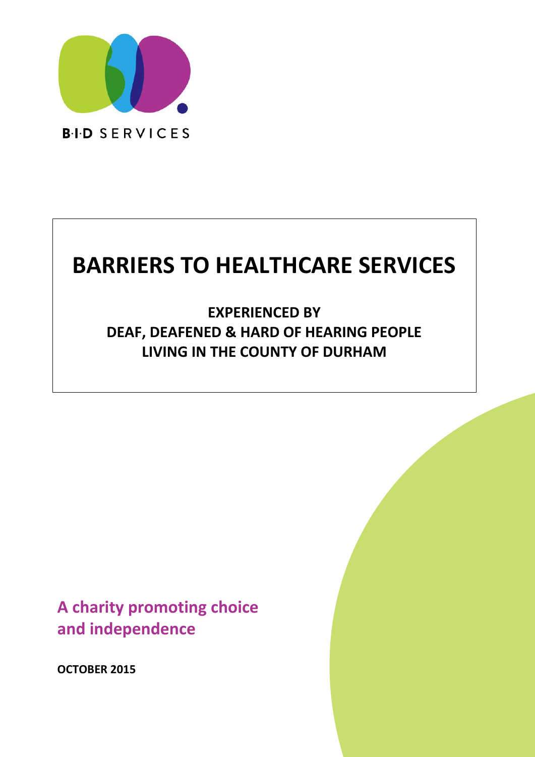

# **BARRIERS TO HEALTHCARE SERVICES**

**EXPERIENCED BY DEAF, DEAFENED & HARD OF HEARING PEOPLE LIVING IN THE COUNTY OF DURHAM**

**A charity promoting choice and independence**

**OCTOBER 2015**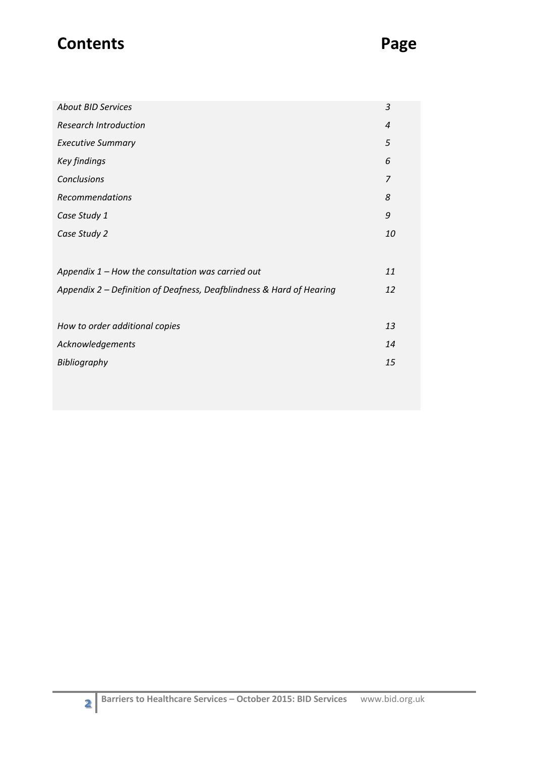# **Contents Page**

| <b>About BID Services</b>                                            | 3                |
|----------------------------------------------------------------------|------------------|
| <b>Research Introduction</b>                                         | $\boldsymbol{4}$ |
| <b>Executive Summary</b>                                             | 5                |
| <b>Key findings</b>                                                  | 6                |
| Conclusions                                                          | $\overline{z}$   |
| Recommendations                                                      | 8                |
| Case Study 1                                                         | 9                |
| Case Study 2                                                         | 10               |
|                                                                      |                  |
| Appendix $1$ – How the consultation was carried out                  | 11               |
| Appendix 2 – Definition of Deafness, Deafblindness & Hard of Hearing | 12               |
|                                                                      |                  |
| How to order additional copies                                       | 13               |
| Acknowledgements                                                     | 14               |
| Bibliography                                                         | 15               |
|                                                                      |                  |
|                                                                      |                  |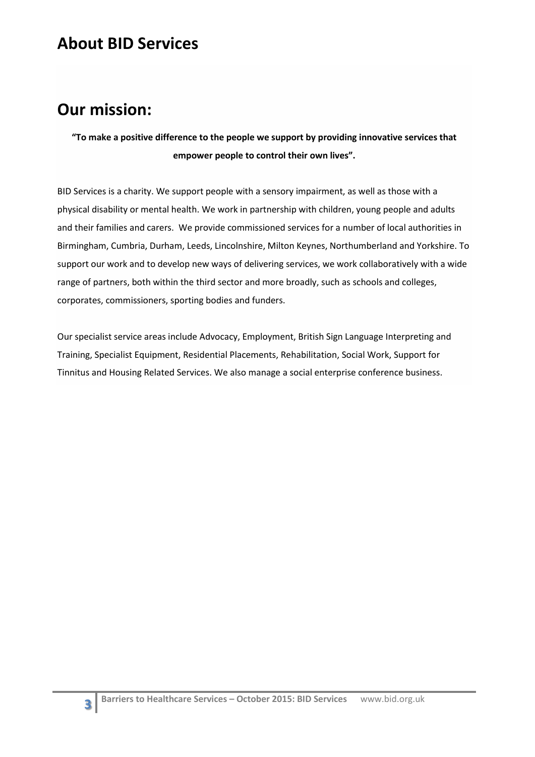### **About BID Services**

# **Our mission:**

**"To make a positive difference to the people we support by providing innovative services that empower people to control their own lives".**

BID Services is a charity. We support people with a sensory impairment, as well as those with a physical disability or mental health. We work in partnership with children, young people and adults and their families and carers. We provide commissioned services for a number of local authorities in Birmingham, Cumbria, Durham, Leeds, Lincolnshire, Milton Keynes, Northumberland and Yorkshire. To support our work and to develop new ways of delivering services, we work collaboratively with a wide range of partners, both within the third sector and more broadly, such as schools and colleges, corporates, commissioners, sporting bodies and funders.

Our specialist service areas include Advocacy, Employment, British Sign Language Interpreting and Training, Specialist Equipment, Residential Placements, Rehabilitation, Social Work, Support for Tinnitus and Housing Related Services. We also manage a social enterprise conference business.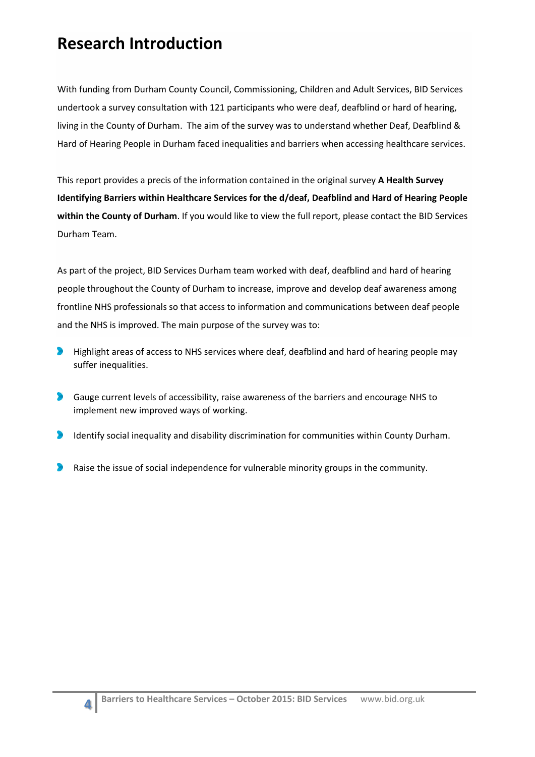# **Research Introduction**

With funding from Durham County Council, Commissioning, Children and Adult Services, BID Services undertook a survey consultation with 121 participants who were deaf, deafblind or hard of hearing, living in the County of Durham. The aim of the survey was to understand whether Deaf, Deafblind & Hard of Hearing People in Durham faced inequalities and barriers when accessing healthcare services.

This report provides a precis of the information contained in the original survey **A Health Survey Identifying Barriers within Healthcare Services for the d/deaf, Deafblind and Hard of Hearing People within the County of Durham**. If you would like to view the full report, please contact the BID Services Durham Team.

As part of the project, BID Services Durham team worked with deaf, deafblind and hard of hearing people throughout the County of Durham to increase, improve and develop deaf awareness among frontline NHS professionals so that access to information and communications between deaf people and the NHS is improved. The main purpose of the survey was to:

- $\bullet$ Highlight areas of access to NHS services where deaf, deafblind and hard of hearing people may suffer inequalities.
- **S** Gauge current levels of accessibility, raise awareness of the barriers and encourage NHS to implement new improved ways of working.
- Identify social inequality and disability discrimination for communities within County Durham.  $\bullet$
- Raise the issue of social independence for vulnerable minority groups in the community.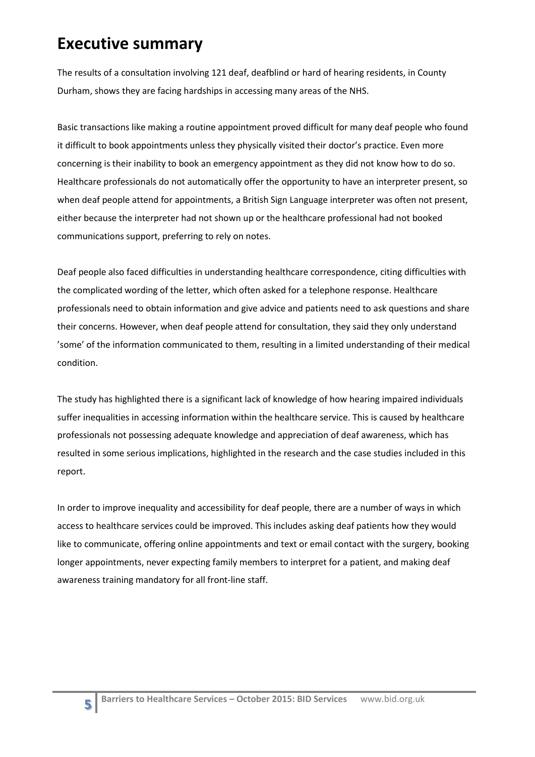# **Executive summary**

The results of a consultation involving 121 deaf, deafblind or hard of hearing residents, in County Durham, shows they are facing hardships in accessing many areas of the NHS.

Basic transactions like making a routine appointment proved difficult for many deaf people who found it difficult to book appointments unless they physically visited their doctor's practice. Even more concerning is their inability to book an emergency appointment as they did not know how to do so. Healthcare professionals do not automatically offer the opportunity to have an interpreter present, so when deaf people attend for appointments, a British Sign Language interpreter was often not present, either because the interpreter had not shown up or the healthcare professional had not booked communications support, preferring to rely on notes.

Deaf people also faced difficulties in understanding healthcare correspondence, citing difficulties with the complicated wording of the letter, which often asked for a telephone response. Healthcare professionals need to obtain information and give advice and patients need to ask questions and share their concerns. However, when deaf people attend for consultation, they said they only understand 'some' of the information communicated to them, resulting in a limited understanding of their medical condition.

The study has highlighted there is a significant lack of knowledge of how hearing impaired individuals suffer inequalities in accessing information within the healthcare service. This is caused by healthcare professionals not possessing adequate knowledge and appreciation of deaf awareness, which has resulted in some serious implications, highlighted in the research and the case studies included in this report.

In order to improve inequality and accessibility for deaf people, there are a number of ways in which access to healthcare services could be improved. This includes asking deaf patients how they would like to communicate, offering online appointments and text or email contact with the surgery, booking longer appointments, never expecting family members to interpret for a patient, and making deaf awareness training mandatory for all front-line staff.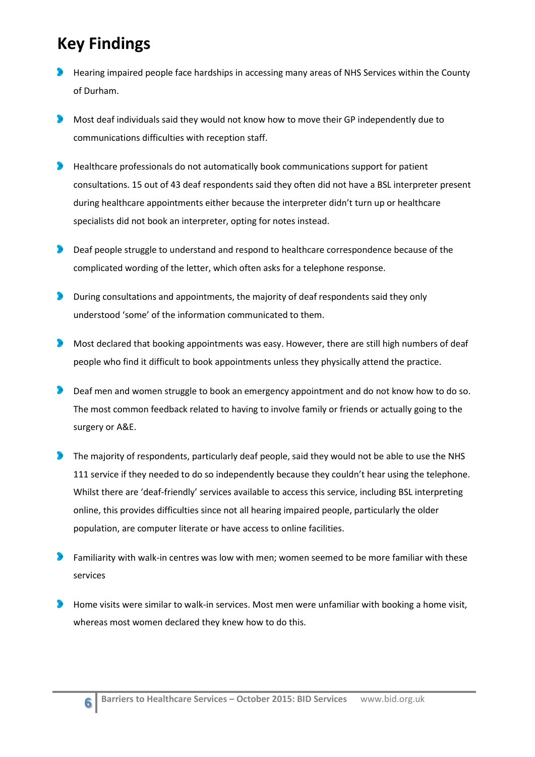# **Key Findings**

**6**

- Hearing impaired people face hardships in accessing many areas of NHS Services within the County of Durham.
- Most deaf individuals said they would not know how to move their GP independently due to communications difficulties with reception staff.
- Healthcare professionals do not automatically book communications support for patient consultations. 15 out of 43 deaf respondents said they often did not have a BSL interpreter present during healthcare appointments either because the interpreter didn't turn up or healthcare specialists did not book an interpreter, opting for notes instead.
- $\bullet$ Deaf people struggle to understand and respond to healthcare correspondence because of the complicated wording of the letter, which often asks for a telephone response.
- During consultations and appointments, the majority of deaf respondents said they only understood 'some' of the information communicated to them.
- $\bullet$ Most declared that booking appointments was easy. However, there are still high numbers of deaf people who find it difficult to book appointments unless they physically attend the practice.
- D Deaf men and women struggle to book an emergency appointment and do not know how to do so. The most common feedback related to having to involve family or friends or actually going to the surgery or A&E.
- The majority of respondents, particularly deaf people, said they would not be able to use the NHS 111 service if they needed to do so independently because they couldn't hear using the telephone. Whilst there are 'deaf-friendly' services available to access this service, including BSL interpreting online, this provides difficulties since not all hearing impaired people, particularly the older population, are computer literate or have access to online facilities.
- Familiarity with walk-in centres was low with men; women seemed to be more familiar with these services
- Home visits were similar to walk-in services. Most men were unfamiliar with booking a home visit, whereas most women declared they knew how to do this.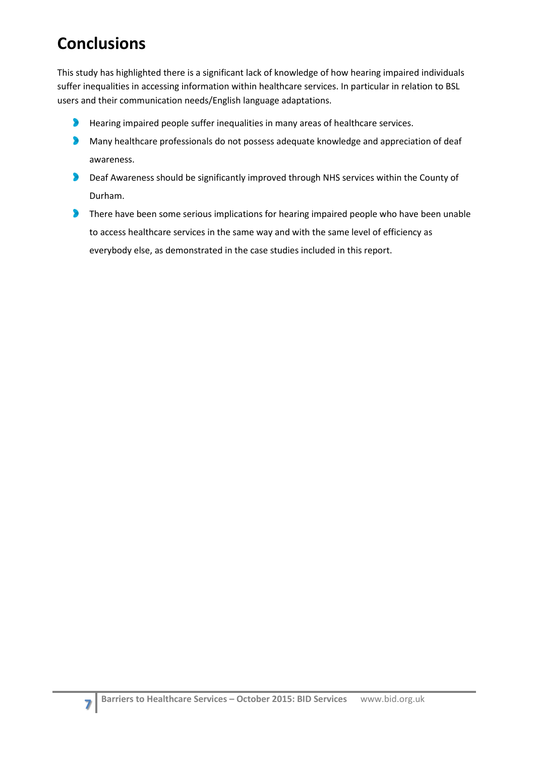# **Conclusions**

This study has highlighted there is a significant lack of knowledge of how hearing impaired individuals suffer inequalities in accessing information within healthcare services. In particular in relation to BSL users and their communication needs/English language adaptations.

- $\bullet$ Hearing impaired people suffer inequalities in many areas of healthcare services.
- Many healthcare professionals do not possess adequate knowledge and appreciation of deaf awareness.
- Deaf Awareness should be significantly improved through NHS services within the County of  $\bullet$ Durham.
- There have been some serious implications for hearing impaired people who have been unable D to access healthcare services in the same way and with the same level of efficiency as everybody else, as demonstrated in the case studies included in this report.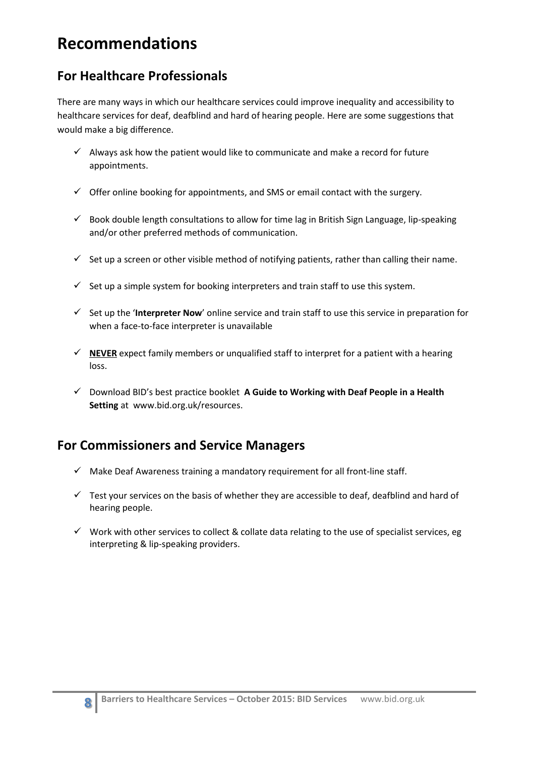# **Recommendations**

### **For Healthcare Professionals**

There are many ways in which our healthcare services could improve inequality and accessibility to healthcare services for deaf, deafblind and hard of hearing people. Here are some suggestions that would make a big difference.

- $\checkmark$  Always ask how the patient would like to communicate and make a record for future appointments.
- $\checkmark$  Offer online booking for appointments, and SMS or email contact with the surgery.
- $\checkmark$  Book double length consultations to allow for time lag in British Sign Language, lip-speaking and/or other preferred methods of communication.
- $\checkmark$  Set up a screen or other visible method of notifying patients, rather than calling their name.
- $\checkmark$  Set up a simple system for booking interpreters and train staff to use this system.
- $\checkmark$  Set up the '**Interpreter Now'** online service and train staff to use this service in preparation for when a face-to-face interpreter is unavailable
- $\checkmark$  **NEVER** expect family members or unqualified staff to interpret for a patient with a hearing loss.
- Download BID's best practice booklet **A Guide to Working with Deaf People in a Health Setting** at www.bid.org.uk/resources.

### **For Commissioners and Service Managers**

- $\checkmark$  Make Deaf Awareness training a mandatory requirement for all front-line staff.
- $\checkmark$  Test your services on the basis of whether they are accessible to deaf, deafblind and hard of hearing people.
- $\checkmark$  Work with other services to collect & collate data relating to the use of specialist services, eg interpreting & lip-speaking providers.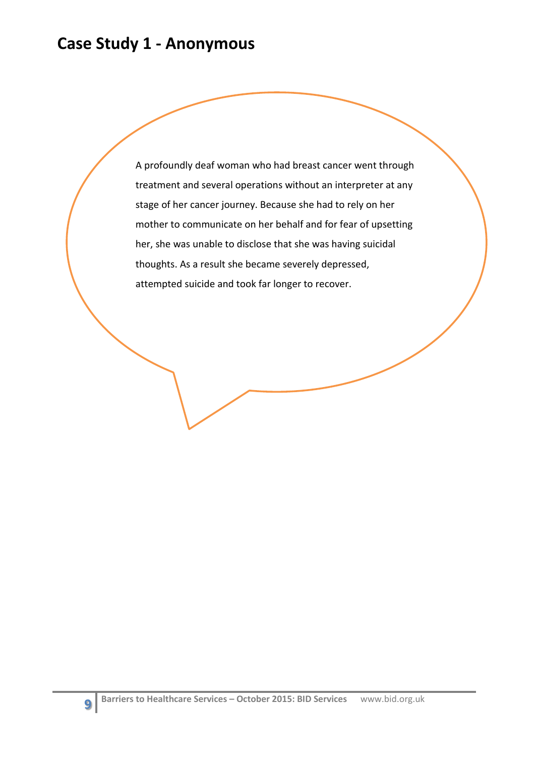### **Case Study 1 - Anonymous**

A profoundly deaf woman who had breast cancer went through treatment and several operations without an interpreter at any stage of her cancer journey. Because she had to rely on her mother to communicate on her behalf and for fear of upsetting her, she was unable to disclose that she was having suicidal thoughts. As a result she became severely depressed, attempted suicide and took far longer to recover.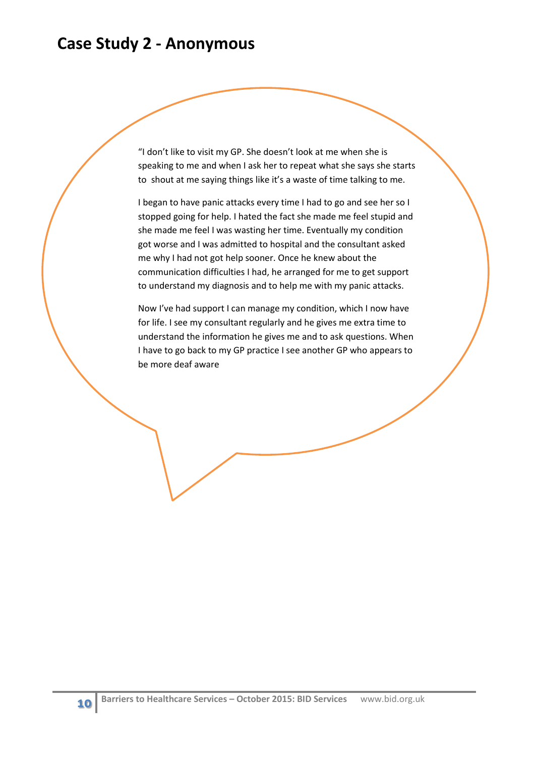### **Case Study 2 - Anonymous**

"I don't like to visit my GP. She doesn't look at me when she is speaking to me and when I ask her to repeat what she says she starts to shout at me saying things like it's a waste of time talking to me.

I began to have panic attacks every time I had to go and see her so I stopped going for help. I hated the fact she made me feel stupid and she made me feel I was wasting her time. Eventually my condition got worse and I was admitted to hospital and the consultant asked me why I had not got help sooner. Once he knew about the communication difficulties I had, he arranged for me to get support to understand my diagnosis and to help me with my panic attacks.

Now I've had support I can manage my condition, which I now have for life. I see my consultant regularly and he gives me extra time to understand the information he gives me and to ask questions. When I have to go back to my GP practice I see another GP who appears to be more deaf aware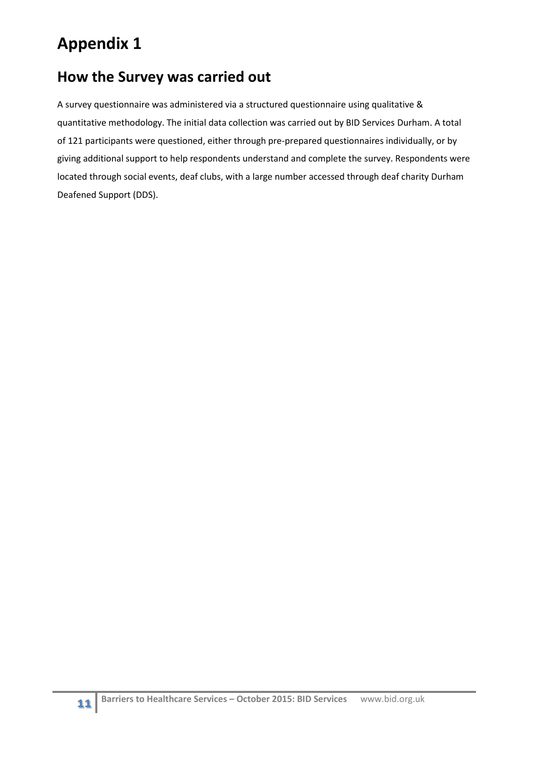# **Appendix 1**

### **How the Survey was carried out**

A survey questionnaire was administered via a structured questionnaire using qualitative & quantitative methodology. The initial data collection was carried out by BID Services Durham. A total of 121 participants were questioned, either through pre-prepared questionnaires individually, or by giving additional support to help respondents understand and complete the survey. Respondents were located through social events, deaf clubs, with a large number accessed through deaf charity Durham Deafened Support (DDS).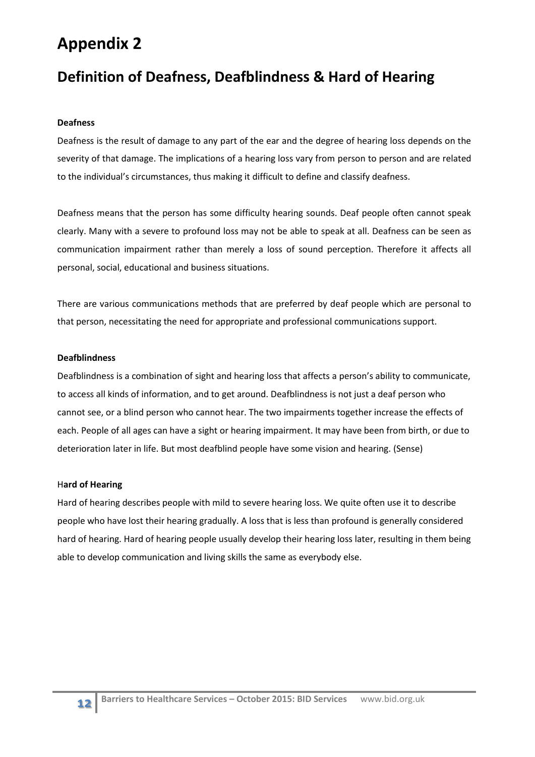### **Appendix 2**

### **Definition of Deafness, Deafblindness & Hard of Hearing**

#### **Deafness**

Deafness is the result of damage to any part of the ear and the degree of hearing loss depends on the severity of that damage. The implications of a hearing loss vary from person to person and are related to the individual's circumstances, thus making it difficult to define and classify deafness.

Deafness means that the person has some difficulty hearing sounds. Deaf people often cannot speak clearly. Many with a severe to profound loss may not be able to speak at all. Deafness can be seen as communication impairment rather than merely a loss of sound perception. Therefore it affects all personal, social, educational and business situations.

There are various communications methods that are preferred by deaf people which are personal to that person, necessitating the need for appropriate and professional communications support.

#### **Deafblindness**

Deafblindness is a combination of sight and hearing loss that affects a person's ability to communicate, to access all kinds of information, and to get around. Deafblindness is not just a deaf person who cannot see, or a blind person who cannot hear. The two impairments together increase the effects of each. People of all ages can have a sight or hearing impairment. It may have been from birth, or due to deterioration later in life. But most deafblind people have some vision and hearing. (Sense)

#### H**ard of Hearing**

Hard of hearing describes people with mild to severe hearing loss. We quite often use it to describe people who have lost their hearing gradually. A loss that is less than profound is generally considered hard of hearing. Hard of hearing people usually develop their hearing loss later, resulting in them being able to develop communication and living skills the same as everybody else.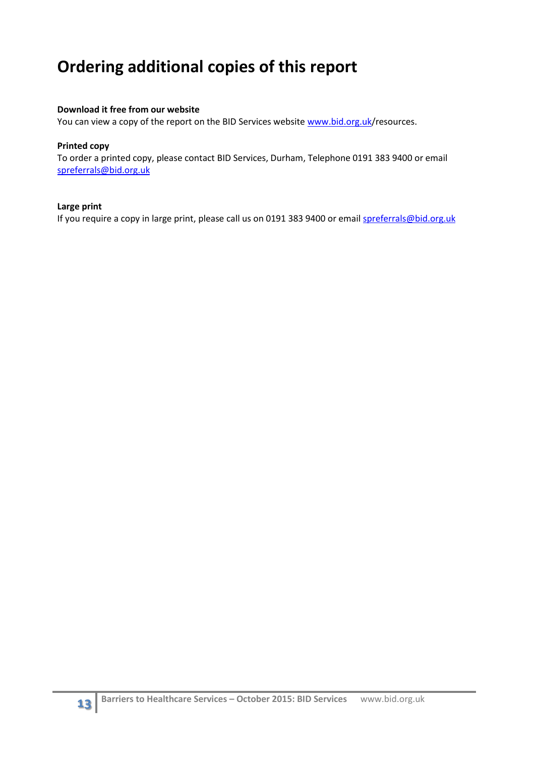# **Ordering additional copies of this report**

#### **Download it free from our website**

You can view a copy of the report on the BID Services website [www.bid.org.uk/](http://www.bid.org.uk/)resources.

#### **Printed copy**

To order a printed copy, please contact BID Services, Durham, Telephone 0191 383 9400 or email [spreferrals@bid.org.uk](mailto:spreferrals@bid.org.uk)

#### **Large print**

If you require a copy in large print, please call us on 0191 383 9400 or email [spreferrals@bid.org.uk](mailto:spreferrals@bid.org.uk)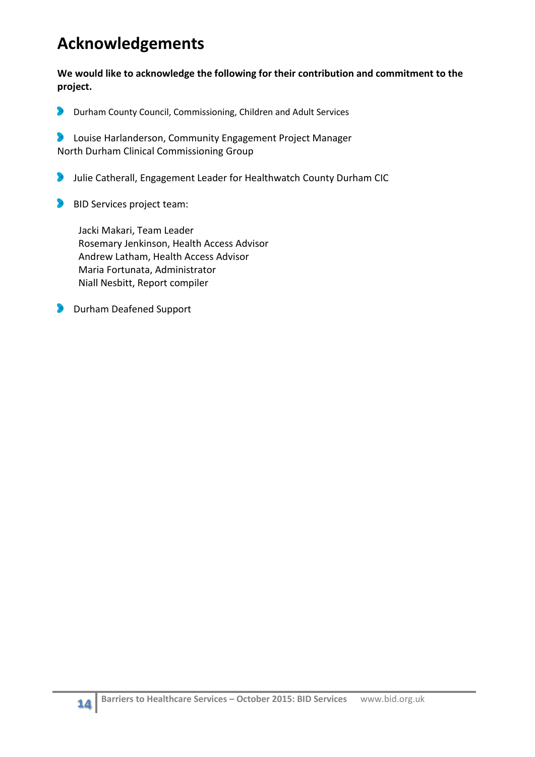# **Acknowledgements**

**We would like to acknowledge the following for their contribution and commitment to the project.**

 $\bullet$ Durham County Council, Commissioning, Children and Adult Services

Louise Harlanderson, Community Engagement Project Manager  $\sum_{i=1}^{n}$ North Durham Clinical Commissioning Group

- **Julie Catherall, Engagement Leader for Healthwatch County Durham CIC**
- BID Services project team:

 Jacki Makari, Team Leader Rosemary Jenkinson, Health Access Advisor Andrew Latham, Health Access Advisor Maria Fortunata, Administrator Niall Nesbitt, Report compiler

**Durham Deafened Support**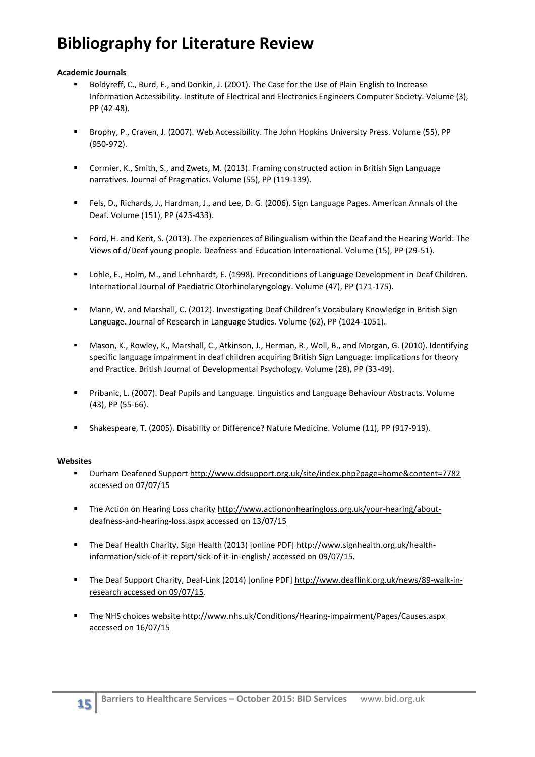# **Bibliography for Literature Review**

#### **Academic Journals**

- Boldyreff, C., Burd, E., and Donkin, J. (2001). The Case for the Use of Plain English to Increase Information Accessibility. Institute of Electrical and Electronics Engineers Computer Society. Volume (3), PP (42-48).
- Brophy, P., Craven, J. (2007). Web Accessibility. The John Hopkins University Press. Volume (55), PP (950-972).
- Cormier, K., Smith, S., and Zwets, M. (2013). Framing constructed action in British Sign Language narratives. Journal of Pragmatics. Volume (55), PP (119-139).
- Fels, D., Richards, J., Hardman, J., and Lee, D. G. (2006). Sign Language Pages. American Annals of the Deaf. Volume (151), PP (423-433).
- Ford, H. and Kent, S. (2013). The experiences of Bilingualism within the Deaf and the Hearing World: The Views of d/Deaf young people. Deafness and Education International. Volume (15), PP (29-51).
- Lohle, E., Holm, M., and Lehnhardt, E. (1998). Preconditions of Language Development in Deaf Children. International Journal of Paediatric Otorhinolaryngology. Volume (47), PP (171-175).
- Mann, W. and Marshall, C. (2012). Investigating Deaf Children's Vocabulary Knowledge in British Sign Language. Journal of Research in Language Studies. Volume (62), PP (1024-1051).
- Mason, K., Rowley, K., Marshall, C., Atkinson, J., Herman, R., Woll, B., and Morgan, G. (2010). Identifying specific language impairment in deaf children acquiring British Sign Language: Implications for theory and Practice. British Journal of Developmental Psychology. Volume (28), PP (33-49).
- Pribanic, L. (2007). Deaf Pupils and Language. Linguistics and Language Behaviour Abstracts. Volume (43), PP (55-66).
- Shakespeare, T. (2005). Disability or Difference? Nature Medicine. Volume (11), PP (917-919).

#### **Websites**

- Durham Deafened Suppor[t http://www.ddsupport.org.uk/site/index.php?page=home&content=7782](http://www.ddsupport.org.uk/site/index.php?page=home&content=7782) accessed on 07/07/15
- The Action on Hearing Loss charity [http://www.actiononhearingloss.org.uk/your-hearing/about](http://www.actiononhearingloss.org.uk/your-hearing/about-deafness-and-hearing-loss.aspx%20accessed%20on%2013/07/15)[deafness-and-hearing-loss.aspx accessed on 13/07/15](http://www.actiononhearingloss.org.uk/your-hearing/about-deafness-and-hearing-loss.aspx%20accessed%20on%2013/07/15)
- The Deaf Health Charity, Sign Health (2013) [online PDF] [http://www.signhealth.org.uk/health](http://www.signhealth.org.uk/health-information/sick-of-it-report/sick-of-it-in-english/)[information/sick-of-it-report/sick-of-it-in-english/](http://www.signhealth.org.uk/health-information/sick-of-it-report/sick-of-it-in-english/) accessed on 09/07/15.
- The Deaf Support Charity, Deaf-Link (2014) [online PDF] [http://www.deaflink.org.uk/news/89-walk-in](http://www.deaflink.org.uk/news/89-walk-in-research%20accessed%20on%2009/07/15)[research accessed on 09/07/15.](http://www.deaflink.org.uk/news/89-walk-in-research%20accessed%20on%2009/07/15)
- The NHS choices website [http://www.nhs.uk/Conditions/Hearing-impairment/Pages/Causes.aspx](http://www.nhs.uk/Conditions/Hearing-impairment/Pages/Causes.aspx%20accessed%20on%2016/07/15)  [accessed on 16/07/15](http://www.nhs.uk/Conditions/Hearing-impairment/Pages/Causes.aspx%20accessed%20on%2016/07/15)